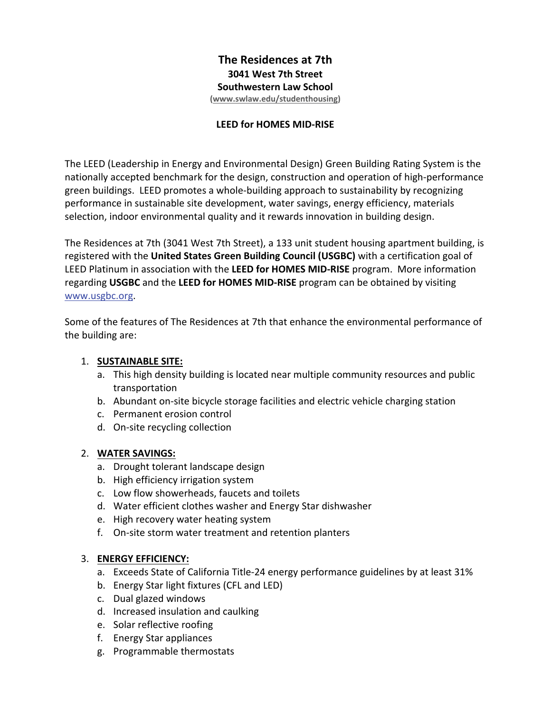# **The Residences at 7th 3041 West 7th Street Southwestern Law School**

**(www.swlaw.edu/studenthousing)** 

#### **LEED for HOMES MID‐RISE**

The LEED (Leadership in Energy and Environmental Design) Green Building Rating System is the nationally accepted benchmark for the design, construction and operation of high‐performance green buildings. LEED promotes a whole‐building approach to sustainability by recognizing performance in sustainable site development, water savings, energy efficiency, materials selection, indoor environmental quality and it rewards innovation in building design.

The Residences at 7th (3041 West 7th Street), a 133 unit student housing apartment building, is registered with the **United States Green Building Council (USGBC)** with a certification goal of LEED Platinum in association with the **LEED for HOMES MID‐RISE** program. More information regarding **USGBC** and the **LEED for HOMES MID‐RISE** program can be obtained by visiting www.usgbc.org.

Some of the features of The Residences at 7th that enhance the environmental performance of the building are:

### 1. **SUSTAINABLE SITE:**

- a. This high density building is located near multiple community resources and public transportation
- b. Abundant on‐site bicycle storage facilities and electric vehicle charging station
- c. Permanent erosion control
- d. On‐site recycling collection

#### 2. **WATER SAVINGS:**

- a. Drought tolerant landscape design
- b. High efficiency irrigation system
- c. Low flow showerheads, faucets and toilets
- d. Water efficient clothes washer and Energy Star dishwasher
- e. High recovery water heating system
- f. On‐site storm water treatment and retention planters

#### 3. **ENERGY EFFICIENCY:**

- a. Exceeds State of California Title‐24 energy performance guidelines by at least 31%
- b. Energy Star light fixtures (CFL and LED)
- c. Dual glazed windows
- d. Increased insulation and caulking
- e. Solar reflective roofing
- f. Energy Star appliances
- g. Programmable thermostats